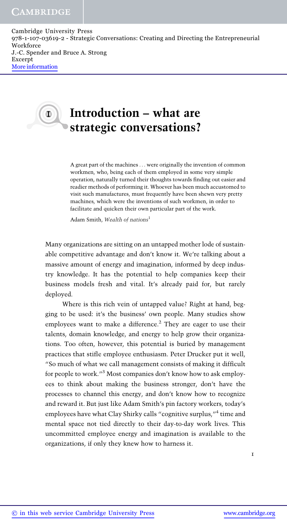# **1 Introduction – what are** strategic conversations?

A great part of the machines ... were originally the invention of common workmen, who, being each of them employed in some very simple operation, naturally turned their thoughts towards finding out easier and readier methods of performing it. Whoever has been much accustomed to visit such manufactures, must frequently have been shewn very pretty machines, which were the inventions of such workmen, in order to facilitate and quicken their own particular part of the work.

Adam Smith, Wealth of nations<sup>1</sup>

Many organizations are sitting on an untapped mother lode of sustainable competitive advantage and don't know it. We're talking about a massive amount of energy and imagination, informed by deep industry knowledge. It has the potential to help companies keep their business models fresh and vital. It's already paid for, but rarely deployed.

Where is this rich vein of untapped value? Right at hand, begging to be used: it's the business' own people. Many studies show employees want to make a difference. $<sup>2</sup>$  They are eager to use their</sup> talents, domain knowledge, and energy to help grow their organizations. Too often, however, this potential is buried by management practices that stifle employee enthusiasm. Peter Drucker put it well, "So much of what we call management consists of making it difficult for people to work."<sup>3</sup> Most companies don't know how to ask employees to think about making the business stronger, don't have the processes to channel this energy, and don't know how to recognize and reward it. But just like Adam Smith's pin factory workers, today's employees have what Clay Shirky calls "cognitive surplus,"<sup>4</sup> time and mental space not tied directly to their day-to-day work lives. This uncommitted employee energy and imagination is available to the organizations, if only they knew how to harness it.

 $\mathbf{I}$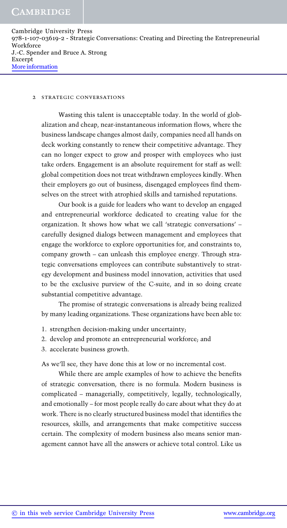## 2 strategic conversations

Wasting this talent is unacceptable today. In the world of globalization and cheap, near-instantaneous information flows, where the business landscape changes almost daily, companies need all hands on deck working constantly to renew their competitive advantage. They can no longer expect to grow and prosper with employees who just take orders. Engagement is an absolute requirement for staff as well: global competition does not treat withdrawn employees kindly. When their employers go out of business, disengaged employees find themselves on the street with atrophied skills and tarnished reputations.

Our book is a guide for leaders who want to develop an engaged and entrepreneurial workforce dedicated to creating value for the organization. It shows how what we call 'strategic conversations' – carefully designed dialogs between management and employees that engage the workforce to explore opportunities for, and constraints to, company growth – can unleash this employee energy. Through strategic conversations employees can contribute substantively to strategy development and business model innovation, activities that used to be the exclusive purview of the C-suite, and in so doing create substantial competitive advantage.

The promise of strategic conversations is already being realized by many leading organizations. These organizations have been able to:

- 1. strengthen decision-making under uncertainty;
- 2. develop and promote an entrepreneurial workforce; and
- 3. accelerate business growth.

As we'll see, they have done this at low or no incremental cost.

While there are ample examples of how to achieve the benefits of strategic conversation, there is no formula. Modern business is complicated – managerially, competitively, legally, technologically, and emotionally – for most people really do care about what they do at work. There is no clearly structured business model that identifies the resources, skills, and arrangements that make competitive success certain. The complexity of modern business also means senior management cannot have all the answers or achieve total control. Like us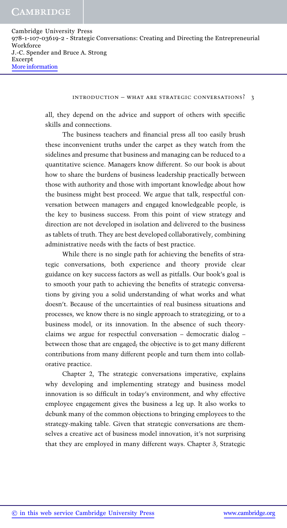## introduction – what are strategic conversations? 3

all, they depend on the advice and support of others with specific skills and connections.

The business teachers and financial press all too easily brush these inconvenient truths under the carpet as they watch from the sidelines and presume that business and managing can be reduced to a quantitative science. Managers know different. So our book is about how to share the burdens of business leadership practically between those with authority and those with important knowledge about how the business might best proceed. We argue that talk, respectful conversation between managers and engaged knowledgeable people, is the key to business success. From this point of view strategy and direction are not developed in isolation and delivered to the business as tablets of truth. They are best developed collaboratively, combining administrative needs with the facts of best practice.

While there is no single path for achieving the benefits of strategic conversations, both experience and theory provide clear guidance on key success factors as well as pitfalls. Our book's goal is to smooth your path to achieving the benefits of strategic conversations by giving you a solid understanding of what works and what doesn't. Because of the uncertainties of real business situations and processes, we know there is no single approach to strategizing, or to a business model, or its innovation. In the absence of such theoryclaims we argue for respectful conversation – democratic dialog – between those that are engaged; the objective is to get many different contributions from many different people and turn them into collaborative practice.

Chapter 2, The strategic conversations imperative, explains why developing and implementing strategy and business model innovation is so difficult in today's environment, and why effective employee engagement gives the business a leg up. It also works to debunk many of the common objections to bringing employees to the strategy-making table. Given that strategic conversations are themselves a creative act of business model innovation, it's not surprising that they are employed in many different ways. Chapter 3, Strategic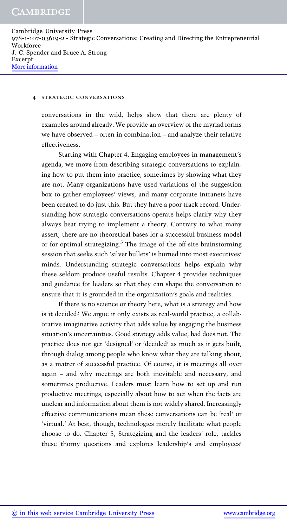## 4 strategic conversations

conversations in the wild, helps show that there are plenty of examples around already. We provide an overview of the myriad forms we have observed – often in combination – and analyze their relative effectiveness.

Starting with Chapter 4, Engaging employees in management's agenda, we move from describing strategic conversations to explaining how to put them into practice, sometimes by showing what they are not. Many organizations have used variations of the suggestion box to gather employees' views, and many corporate intranets have been created to do just this. But they have a poor track record. Understanding how strategic conversations operate helps clarify why they always beat trying to implement a theory. Contrary to what many assert, there are no theoretical bases for a successful business model or for optimal strategizing.<sup>5</sup> The image of the off-site brainstorming session that seeks such 'silver bullets' is burned into most executives' minds. Understanding strategic conversations helps explain why these seldom produce useful results. Chapter 4 provides techniques and guidance for leaders so that they can shape the conversation to ensure that it is grounded in the organization's goals and realities.

If there is no science or theory here, what is a strategy and how is it decided? We argue it only exists as real-world practice, a collaborative imaginative activity that adds value by engaging the business situation's uncertainties. Good strategy adds value, bad does not. The practice does not get 'designed' or 'decided' as much as it gets built, through dialog among people who know what they are talking about, as a matter of successful practice. Of course, it is meetings all over again – and why meetings are both inevitable and necessary, and sometimes productive. Leaders must learn how to set up and run productive meetings, especially about how to act when the facts are unclear and information about them is not widely shared. Increasingly effective communications mean these conversations can be 'real' or 'virtual.' At best, though, technologies merely facilitate what people choose to do. Chapter 5, Strategizing and the leaders' role, tackles these thorny questions and explores leadership's and employees'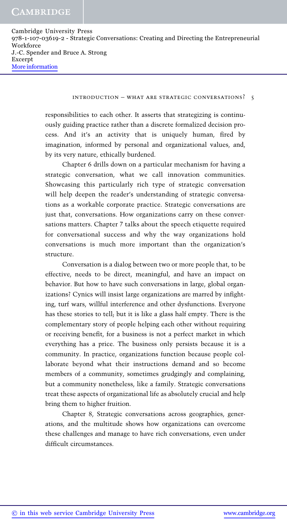#### INTRODUCTION – WHAT ARE STRATEGIC CONVERSATIONS?  $5$

responsibilities to each other. It asserts that strategizing is continuously guiding practice rather than a discrete formalized decision process. And it's an activity that is uniquely human, fired by imagination, informed by personal and organizational values, and, by its very nature, ethically burdened.

Chapter 6 drills down on a particular mechanism for having a strategic conversation, what we call innovation communities. Showcasing this particularly rich type of strategic conversation will help deepen the reader's understanding of strategic conversations as a workable corporate practice. Strategic conversations are just that, conversations. How organizations carry on these conversations matters. Chapter 7 talks about the speech etiquette required for conversational success and why the way organizations hold conversations is much more important than the organization's structure.

Conversation is a dialog between two or more people that, to be effective, needs to be direct, meaningful, and have an impact on behavior. But how to have such conversations in large, global organizations? Cynics will insist large organizations are marred by infighting, turf wars, willful interference and other dysfunctions. Everyone has these stories to tell; but it is like a glass half empty. There is the complementary story of people helping each other without requiring or receiving benefit, for a business is not a perfect market in which everything has a price. The business only persists because it is a community. In practice, organizations function because people collaborate beyond what their instructions demand and so become members of a community, sometimes grudgingly and complaining, but a community nonetheless, like a family. Strategic conversations treat these aspects of organizational life as absolutely crucial and help bring them to higher fruition.

Chapter 8, Strategic conversations across geographies, generations, and the multitude shows how organizations can overcome these challenges and manage to have rich conversations, even under difficult circumstances.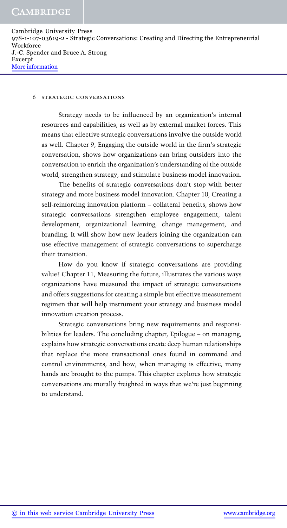#### 6 strategic conversations

Strategy needs to be influenced by an organization's internal resources and capabilities, as well as by external market forces. This means that effective strategic conversations involve the outside world as well. Chapter 9, Engaging the outside world in the firm's strategic conversation, shows how organizations can bring outsiders into the conversation to enrich the organization's understanding of the outside world, strengthen strategy, and stimulate business model innovation.

The benefits of strategic conversations don't stop with better strategy and more business model innovation. Chapter 10, Creating a self-reinforcing innovation platform – collateral benefits, shows how strategic conversations strengthen employee engagement, talent development, organizational learning, change management, and branding. It will show how new leaders joining the organization can use effective management of strategic conversations to supercharge their transition.

How do you know if strategic conversations are providing value? Chapter 11, Measuring the future, illustrates the various ways organizations have measured the impact of strategic conversations and offers suggestions for creating a simple but effective measurement regimen that will help instrument your strategy and business model innovation creation process.

Strategic conversations bring new requirements and responsibilities for leaders. The concluding chapter, Epilogue – on managing, explains how strategic conversations create deep human relationships that replace the more transactional ones found in command and control environments, and how, when managing is effective, many hands are brought to the pumps. This chapter explores how strategic conversations are morally freighted in ways that we're just beginning to understand.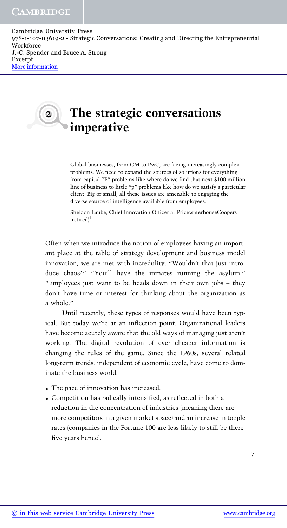# 2 The strategic conversations imperative

Global businesses, from GM to PwC, are facing increasingly complex problems. We need to expand the sources of solutions for everything from capital "P" problems like where do we find that next \$100 million line of business to little "p" problems like how do we satisfy a particular client. Big or small, all these issues are amenable to engaging the diverse source of intelligence available from employees.

Sheldon Laube, Chief Innovation Officer at PricewaterhouseCoopers  $(retried)<sup>1</sup>$ 

Often when we introduce the notion of employees having an important place at the table of strategy development and business model innovation, we are met with incredulity. "Wouldn't that just introduce chaos?" "You'll have the inmates running the asylum." "Employees just want to be heads down in their own jobs – they don't have time or interest for thinking about the organization as a whole."

Until recently, these types of responses would have been typical. But today we're at an inflection point. Organizational leaders have become acutely aware that the old ways of managing just aren't working. The digital revolution of ever cheaper information is changing the rules of the game. Since the 1960s, several related long-term trends, independent of economic cycle, have come to dominate the business world:

- The pace of innovation has increased.
- Competition has radically intensified, as reflected in both a reduction in the concentration of industries (meaning there are more competitors in a given market space) and an increase in topple rates (companies in the Fortune 100 are less likely to still be there five years hence).

7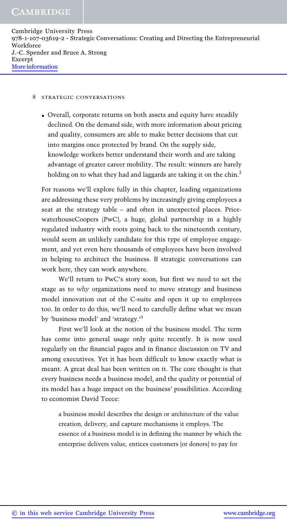### 8 strategic conversations

• Overall, corporate returns on both assets and equity have steadily declined. On the demand side, with more information about pricing and quality, consumers are able to make better decisions that cut into margins once protected by brand. On the supply side, knowledge workers better understand their worth and are taking advantage of greater career mobility. The result: winners are barely holding on to what they had and laggards are taking it on the chin.<sup>2</sup>

For reasons we'll explore fully in this chapter, leading organizations are addressing these very problems by increasingly giving employees a seat at the strategy table – and often in unexpected places. PricewaterhouseCoopers (PwC), a huge, global partnership in a highly regulated industry with roots going back to the nineteenth century, would seem an unlikely candidate for this type of employee engagement, and yet even here thousands of employees have been involved in helping to architect the business. If strategic conversations can work here, they can work anywhere.

We'll return to PwC's story soon, but first we need to set the stage as to why organizations need to move strategy and business model innovation out of the C-suite and open it up to employees too. In order to do this, we'll need to carefully define what we mean by 'business model' and 'strategy.'<sup>3</sup>

First we'll look at the notion of the business model. The term has come into general usage only quite recently. It is now used regularly on the financial pages and in finance discussion on TV and among executives. Yet it has been difficult to know exactly what is meant. A great deal has been written on it. The core thought is that every business needs a business model, and the quality or potential of its model has a huge impact on the business' possibilities. According to economist David Teece:

a business model describes the design or architecture of the value creation, delivery, and capture mechanisms it employs. The essence of a business model is in defining the manner by which the enterprise delivers value, entices customers [or donors] to pay for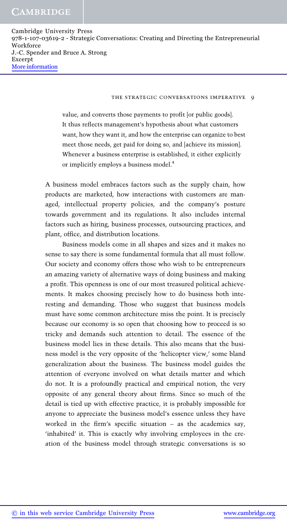### THE STRATEGIC CONVERSATIONS IMPERATIVE 9

value, and converts those payments to profit [or public goods]. It thus reflects management's hypothesis about what customers want, how they want it, and how the enterprise can organize to best meet those needs, get paid for doing so, and [achieve its mission]. Whenever a business enterprise is established, it either explicitly or implicitly employs a business model.<sup>4</sup>

A business model embraces factors such as the supply chain, how products are marketed, how interactions with customers are managed, intellectual property policies, and the company's posture towards government and its regulations. It also includes internal factors such as hiring, business processes, outsourcing practices, and plant, office, and distribution locations.

Business models come in all shapes and sizes and it makes no sense to say there is some fundamental formula that all must follow. Our society and economy offers those who wish to be entrepreneurs an amazing variety of alternative ways of doing business and making a profit. This openness is one of our most treasured political achievements. It makes choosing precisely how to do business both interesting and demanding. Those who suggest that business models must have some common architecture miss the point. It is precisely because our economy is so open that choosing how to proceed is so tricky and demands such attention to detail. The essence of the business model lies in these details. This also means that the business model is the very opposite of the 'helicopter view,' some bland generalization about the business. The business model guides the attention of everyone involved on what details matter and which do not. It is a profoundly practical and empirical notion, the very opposite of any general theory about firms. Since so much of the detail is tied up with effective practice, it is probably impossible for anyone to appreciate the business model's essence unless they have worked in the firm's specific situation – as the academics say, 'inhabited' it. This is exactly why involving employees in the creation of the business model through strategic conversations is so